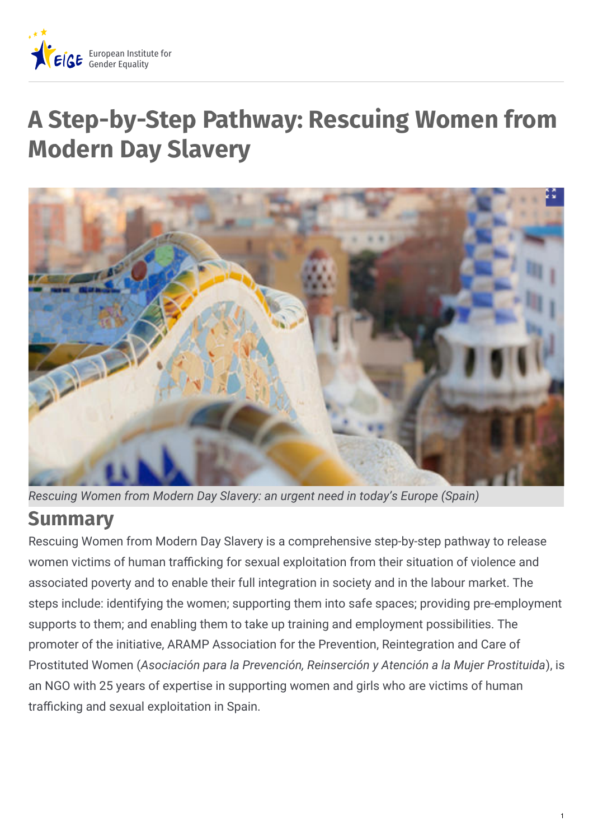

# **A Step-by-Step Pathway: Rescuing Women from Modern Day Slavery**



*Rescuing Women from Modern Day Slavery: an urgent need in today's Europe (Spain)*

### **Summary**

Rescuing Women from Modern Day Slavery is a comprehensive step-by-step pathway to release women victims of human trafficking for sexual exploitation from their situation of violence and associated poverty and to enable their full integration in society and in the labour market. The steps include: identifying the women; supporting them into safe spaces; providing pre-employment supports to them; and enabling them to take up training and employment possibilities. The promoter of the initiative, ARAMP Association for the Prevention, Reintegration and Care of Prostituted Women (*Asociación para la Prevención, Reinserción y Atención a la Mujer Prostituida*), is an NGO with 25 years of expertise in supporting women and girls who are victims of human trafficking and sexual exploitation in Spain.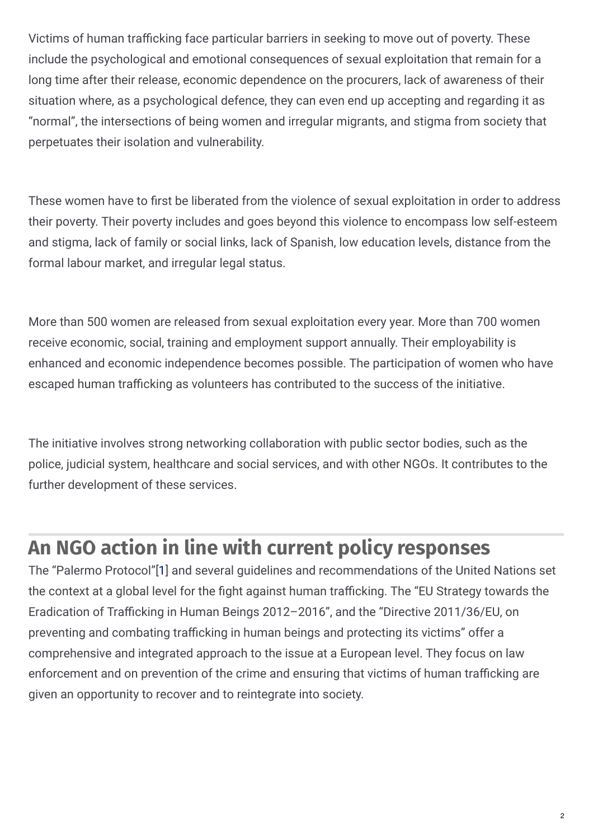Victims of human trafficking face particular barriers in seeking to move out of poverty. These include the psychological and emotional consequences of sexual exploitation that remain for a long time after their release, economic dependence on the procurers, lack of awareness of their situation where, as a psychological defence, they can even end up accepting and regarding it as "normal", the intersections of being women and irregular migrants, and stigma from society that perpetuates their isolation and vulnerability.

These women have to first be liberated from the violence of sexual exploitation in order to address their poverty. Their poverty includes and goes beyond this violence to encompass low self-esteem and stigma, lack of family or social links, lack of Spanish, low education levels, distance from the formal labour market, and irregular legal status.

More than 500 women are released from sexual exploitation every year. More than 700 women receive economic, social, training and employment support annually. Their employability is enhanced and economic independence becomes possible. The participation of women who have escaped human trafficking as volunteers has contributed to the success of the initiative.

The initiative involves strong networking collaboration with public sector bodies, such as the police, judicial system, healthcare and social services, and with other NGOs. It contributes to the further development of these services.

### **An NGO action in line with current policy responses**

The "Palermo Protocol"[\[1\]](https://eige.europa.eu/gender-mainstreaming/good-practices/spain/step-step-pathway-rescuing-women-modern-day-slavery?lang=fr#1) and several guidelines and recommendations of the United Nations set the context at a global level for the fight against human trafficking. The "EU Strategy towards the Eradication of Trafficking in Human Beings 2012-2016", and the "Directive 2011/36/EU, on preventing and combating trafficking in human beings and protecting its victims" offer a comprehensive and integrated approach to the issue at a European level. They focus on law enforcement and on prevention of the crime and ensuring that victims of human trafficking are given an opportunity to recover and to reintegrate into society.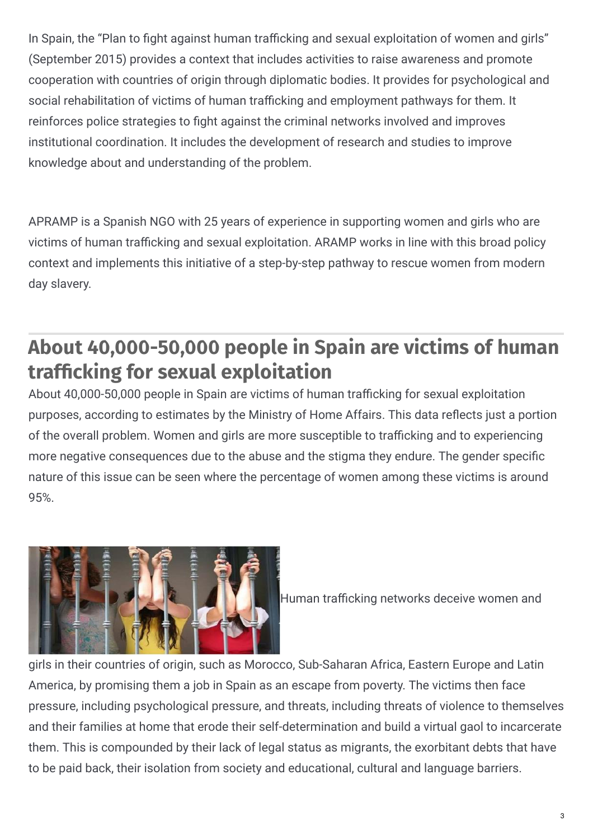In Spain, the "Plan to fight against human trafficking and sexual exploitation of women and girls" (September 2015) provides a context that includes activities to raise awareness and promote cooperation with countries of origin through diplomatic bodies. It provides for psychological and social rehabilitation of victims of human trafficking and employment pathways for them. It reinforces police strategies to fight against the criminal networks involved and improves institutional coordination. It includes the development of research and studies to improve knowledge about and understanding of the problem.

APRAMP is a Spanish NGO with 25 years of experience in supporting women and girls who are victims of human trafficking and sexual exploitation. ARAMP works in line with this broad policy context and implements this initiative of a step-by-step pathway to rescue women from modern day slavery.

### **About 40,000-50,000 people in Spain are victims of human traf'cking for sexual exploitation**

About 40,000-50,000 people in Spain are victims of human trafficking for sexual exploitation purposes, according to estimates by the Ministry of Home Affairs. This data reflects just a portion of the overall problem. Women and girls are more susceptible to trafficking and to experiencing more negative consequences due to the abuse and the stigma they endure. The gender specific nature of this issue can be seen where the percentage of women among these victims is around 95%.



Human trafficking networks deceive women and

girls in their countries of origin, such as Morocco, Sub-Saharan Africa, Eastern Europe and Latin America, by promising them a job in Spain as an escape from poverty. The victims then face pressure, including psychological pressure, and threats, including threats of violence to themselves and their families at home that erode their self-determination and build a virtual gaol to incarcerate them. This is compounded by their lack of legal status as migrants, the exorbitant debts that have to be paid back, their isolation from society and educational, cultural and language barriers.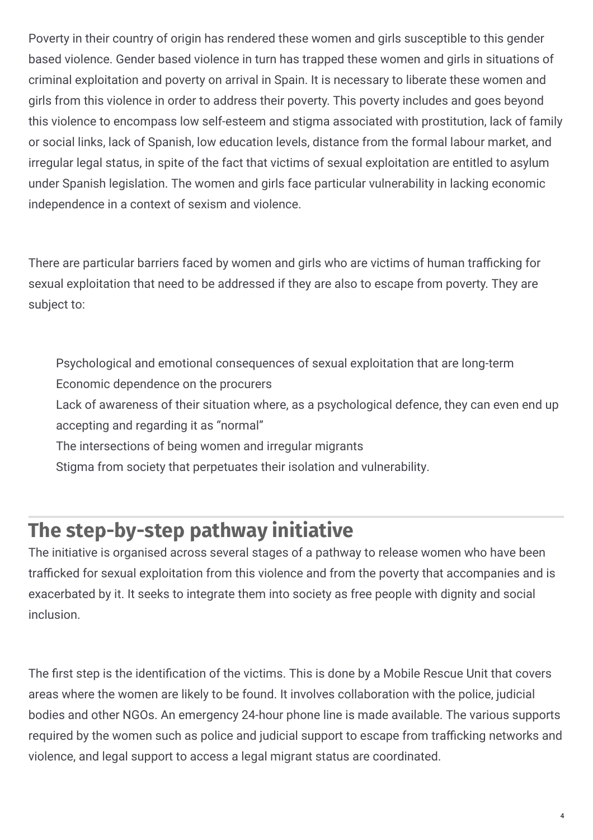Poverty in their country of origin has rendered these women and girls susceptible to this gender based violence. Gender based violence in turn has trapped these women and girls in situations of criminal exploitation and poverty on arrival in Spain. It is necessary to liberate these women and girls from this violence in order to address their poverty. This poverty includes and goes beyond this violence to encompass low self-esteem and stigma associated with prostitution, lack of family or social links, lack of Spanish, low education levels, distance from the formal labour market, and irregular legal status, in spite of the fact that victims of sexual exploitation are entitled to asylum under Spanish legislation. The women and girls face particular vulnerability in lacking economic independence in a context of sexism and violence.

There are particular barriers faced by women and girls who are victims of human trafficking for sexual exploitation that need to be addressed if they are also to escape from poverty. They are subject to:

Psychological and emotional consequences of sexual exploitation that are long-term Economic dependence on the procurers

Lack of awareness of their situation where, as a psychological defence, they can even end up accepting and regarding it as "normal"

The intersections of being women and irregular migrants

Stigma from society that perpetuates their isolation and vulnerability.

### **The step-by-step pathway initiative**

The initiative is organised across several stages of a pathway to release women who have been trafficked for sexual exploitation from this violence and from the poverty that accompanies and is exacerbated by it. It seeks to integrate them into society as free people with dignity and social inclusion.

The first step is the identification of the victims. This is done by a Mobile Rescue Unit that covers areas where the women are likely to be found. It involves collaboration with the police, judicial bodies and other NGOs. An emergency 24-hour phone line is made available. The various supports required by the women such as police and judicial support to escape from trafficking networks and violence, and legal support to access a legal migrant status are coordinated.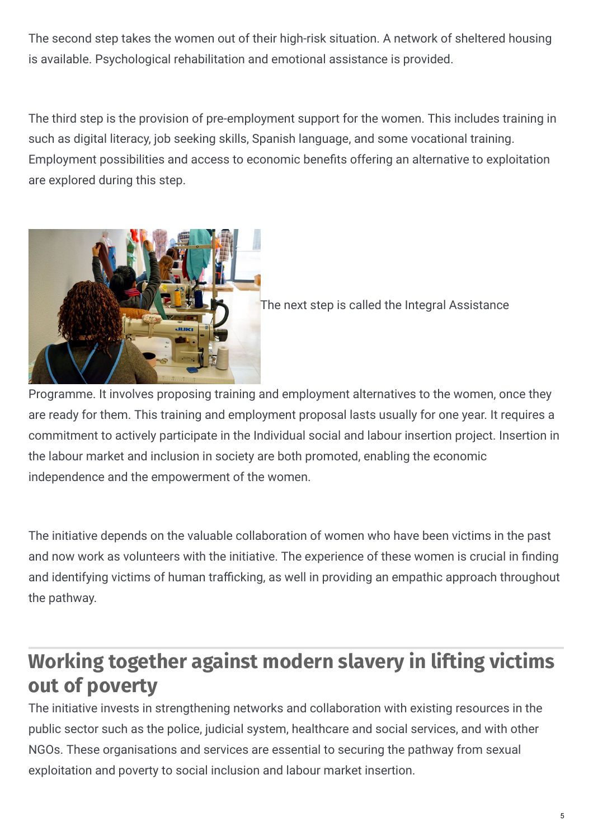The second step takes the women out of their high-risk situation. A network of sheltered housing is available. Psychological rehabilitation and emotional assistance is provided.

The third step is the provision of pre-employment support for the women. This includes training in such as digital literacy, job seeking skills, Spanish language, and some vocational training. Employment possibilities and access to economic benefits offering an alternative to exploitation are explored during this step.



The next step is called the Integral Assistance

Programme. It involves proposing training and employment alternatives to the women, once they are ready for them. This training and employment proposal lasts usually for one year. It requires a commitment to actively participate in the Individual social and labour insertion project. Insertion in the labour market and inclusion in society are both promoted, enabling the economic independence and the empowerment of the women.

The initiative depends on the valuable collaboration of women who have been victims in the past and now work as volunteers with the initiative. The experience of these women is crucial in finding and identifying victims of human trafficking, as well in providing an empathic approach throughout the pathway.

## **Working together against modern slavery in lifting victims out of poverty**

The initiative invests in strengthening networks and collaboration with existing resources in the public sector such as the police, judicial system, healthcare and social services, and with other NGOs. These organisations and services are essential to securing the pathway from sexual exploitation and poverty to social inclusion and labour market insertion.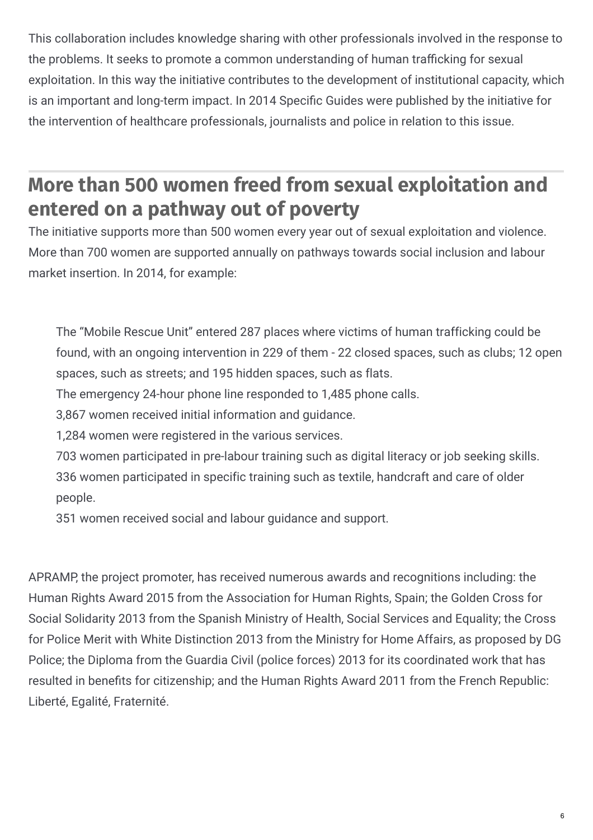This collaboration includes knowledge sharing with other professionals involved in the response to the problems. It seeks to promote a common understanding of human trafficking for sexual exploitation. In this way the initiative contributes to the development of institutional capacity, which is an important and long-term impact. In 2014 Specific Guides were published by the initiative for the intervention of healthcare professionals, journalists and police in relation to this issue.

### **More than 500 women freed from sexual exploitation and entered on a pathway out of poverty**

The initiative supports more than 500 women every year out of sexual exploitation and violence. More than 700 women are supported annually on pathways towards social inclusion and labour market insertion. In 2014, for example:

The "Mobile Rescue Unit" entered 287 places where victims of human trafficking could be found, with an ongoing intervention in 229 of them - 22 closed spaces, such as clubs; 12 open spaces, such as streets; and 195 hidden spaces, such as flats.

The emergency 24-hour phone line responded to 1,485 phone calls.

3,867 women received initial information and guidance.

1,284 women were registered in the various services.

703 women participated in pre-labour training such as digital literacy or job seeking skills. 336 women participated in specific training such as textile, handcraft and care of older people.

351 women received social and labour guidance and support.

APRAMP, the project promoter, has received numerous awards and recognitions including: the Human Rights Award 2015 from the Association for Human Rights, Spain; the Golden Cross for Social Solidarity 2013 from the Spanish Ministry of Health, Social Services and Equality; the Cross for Police Merit with White Distinction 2013 from the Ministry for Home Affairs, as proposed by DG Police; the Diploma from the Guardia Civil (police forces) 2013 for its coordinated work that has resulted in benefits for citizenship; and the Human Rights Award 2011 from the French Republic: Liberté, Egalité, Fraternité.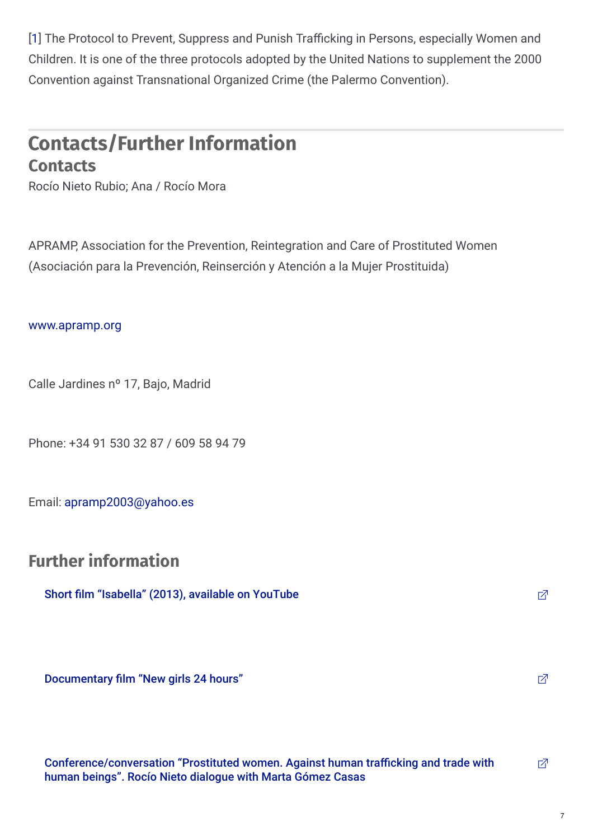[1] The Protocol to Prevent, Suppress and Punish Trafficking in Persons, especially Women and Children. It is one of the three protocols adopted by the United Nations to supplement the 2000 Convention against Transnational Organized Crime (the Palermo Convention).

#### **Contacts/Further Information Contacts**

Rocío Nieto Rubio; Ana / Rocío Mora

APRAMP, Association for the Prevention, Reintegration and Care of Prostituted Women (Asociación para la Prevención, Reinserción y Atención a la Mujer Prostituida)

#### [www.apramp.org](http://www.apramp.org)

Calle Jardines nº 17, Bajo, Madrid

Phone: +34 91 530 32 87 / 609 58 94 79

Email: [apramp2003@yahoo.es](mailto:apramp2003@yahoo.es)

#### **Further information**

Short film ["Isabella"](https://www.youtube.com/watch?v=0jJxBE-QYlo) (2013), available on YouTube and The Control of the Control of The Control of The Control of The Control of The Control of The Control of The Control of The Control of The Control of The Control of Th

[Documentary](http://www.proyectochicasnuevas24horas.com/videos/) film "New girls 24 hours"  $\Box$ 

[Conference/conversation](https://vimeo.com/123321001) "Prostituted women. Against human trafficking and trade with human beings". Rocío Nieto dialogue with Marta Gómez Casas 内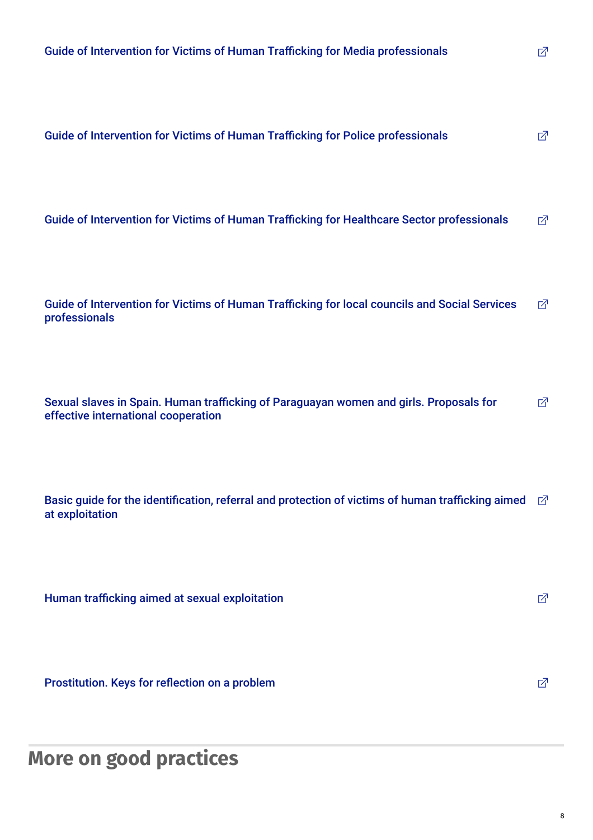**[Prostitution.](http://apramp.org/download/la-prostitucion-claves-para-reflexionar-sobre-un-problema/) Keys for reflection on a problem**  $\Box$ 

**More on good practices**